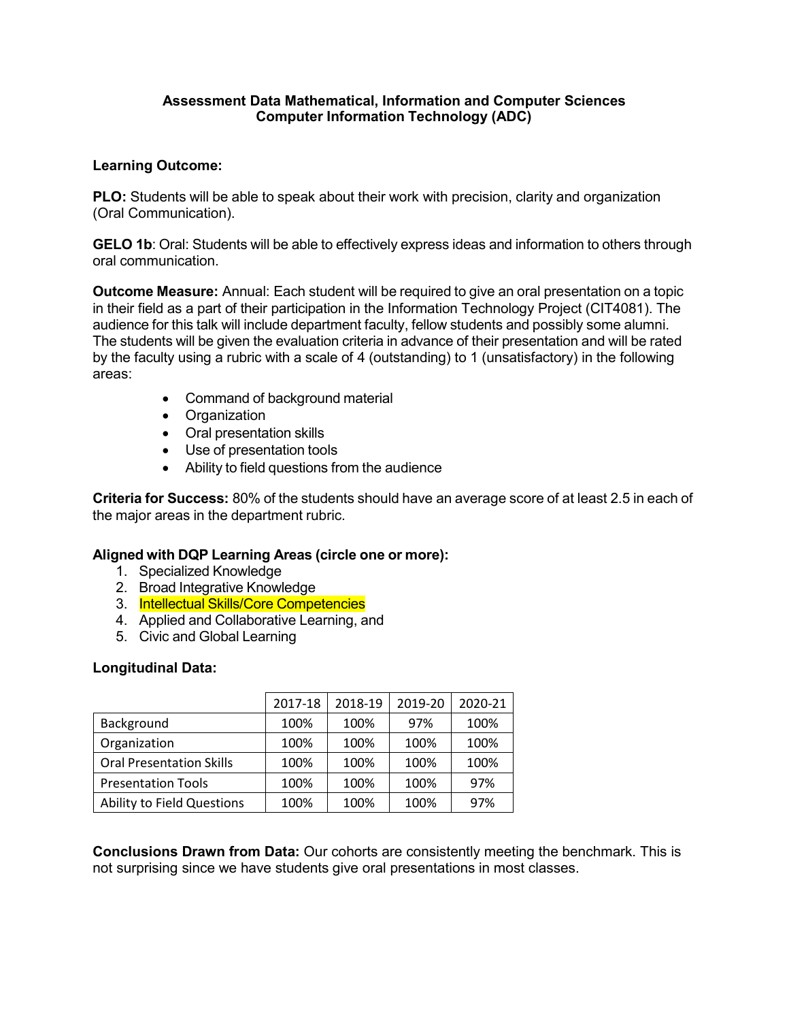## **Assessment Data Mathematical, Information and Computer Sciences Computer Information Technology (ADC)**

### **Learning Outcome:**

**PLO:** Students will be able to speak about their work with precision, clarity and organization (Oral Communication).

**GELO 1b**: Oral: Students will be able to effectively express ideas and information to others through oral communication.

**Outcome Measure:** Annual: Each student will be required to give an oral presentation on a topic in their field as a part of their participation in the Information Technology Project (CIT4081). The audience for this talk will include department faculty, fellow students and possibly some alumni. The students will be given the evaluation criteria in advance of their presentation and will be rated by the faculty using a rubric with a scale of 4 (outstanding) to 1 (unsatisfactory) in the following areas:

- Command of background material
- Organization
- Oral presentation skills
- Use of presentation tools
- Ability to field questions from the audience

**Criteria for Success:** 80% of the students should have an average score of at least 2.5 in each of the major areas in the department rubric.

#### **Aligned with DQP Learning Areas (circle one or more):**

- 1. Specialized Knowledge
- 2. Broad Integrative Knowledge
- 3. Intellectual Skills/Core Competencies
- 4. Applied and Collaborative Learning, and
- 5. Civic and Global Learning

#### **Longitudinal Data:**

|                                   | 2017-18 | 2018-19 | 2019-20 | 2020-21 |
|-----------------------------------|---------|---------|---------|---------|
| Background                        | 100%    | 100%    | 97%     | 100%    |
| Organization                      | 100%    | 100%    | 100%    | 100%    |
| <b>Oral Presentation Skills</b>   | 100%    | 100%    | 100%    | 100%    |
| <b>Presentation Tools</b>         | 100%    | 100%    | 100%    | 97%     |
| <b>Ability to Field Questions</b> | 100%    | 100%    | 100%    | 97%     |

**Conclusions Drawn from Data:** Our cohorts are consistently meeting the benchmark. This is not surprising since we have students give oral presentations in most classes.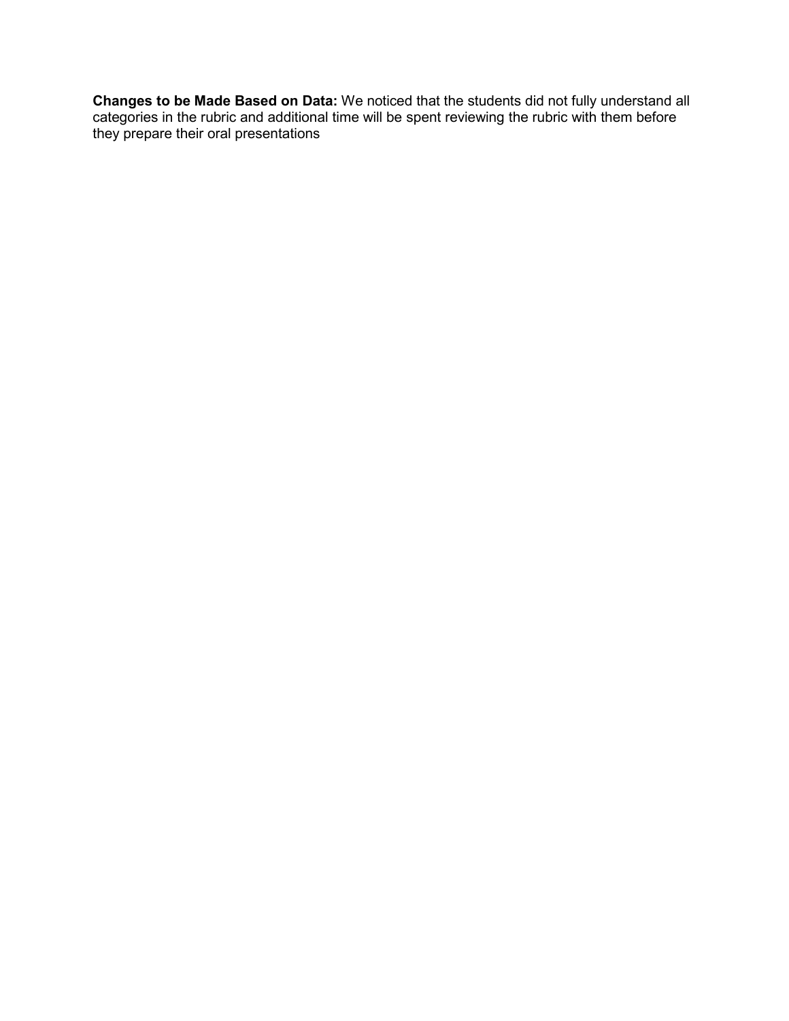**Changes to be Made Based on Data:** We noticed that the students did not fully understand all categories in the rubric and additional time will be spent reviewing the rubric with them before they prepare their oral presentations